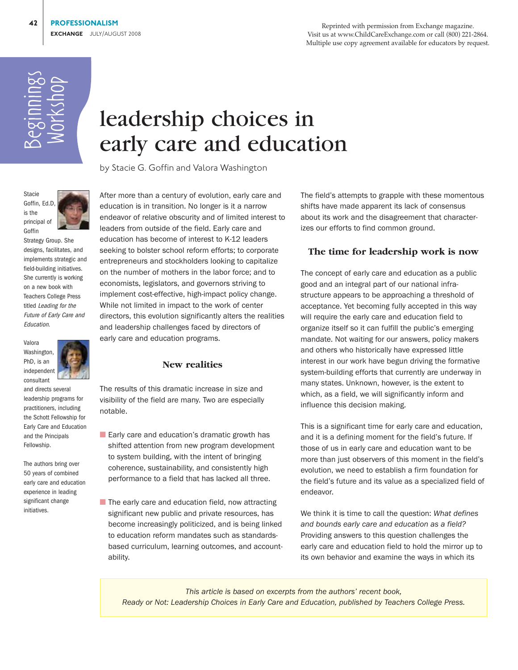Reprinted with permission from Exchange magazine. Visit us at www.ChildCareExchange.com or call (800) 221-2864. Multiple use copy agreement available for educators by request.

# Beginnings Workshop

# leadership choices in early care and education

by Stacie G. Goffin and Valora Washington



Strategy Group. She designs, facilitates, and implements strategic and field-building initiatives. She currently is working on a new book with Teachers College Press titled Leading for the Future of Early Care and Education.



consultant and directs several

leadership programs for practitioners, including the Schott Fellowship for Early Care and Education and the Principals Fellowship.

The authors bring over 50 years of combined early care and education experience in leading significant change initiatives.

After more than a century of evolution, early care and education is in transition. No longer is it a narrow endeavor of relative obscurity and of limited interest to leaders from outside of the field. Early care and education has become of interest to K-12 leaders seeking to bolster school reform efforts; to corporate entrepreneurs and stockholders looking to capitalize on the number of mothers in the labor force; and to economists, legislators, and governors striving to implement cost-effective, high-impact policy change. While not limited in impact to the work of center directors, this evolution significantly alters the realities and leadership challenges faced by directors of early care and education programs.

### **New realities**

The results of this dramatic increase in size and visibility of the field are many. Two are especially notable.

- Early care and education's dramatic growth has shifted attention from new program development to system building, with the intent of bringing coherence, sustainability, and consistently high performance to a field that has lacked all three.
- $\blacksquare$  The early care and education field, now attracting significant new public and private resources, has become increasingly politicized, and is being linked to education reform mandates such as standardsbased curriculum, learning outcomes, and accountability.

The field's attempts to grapple with these momentous shifts have made apparent its lack of consensus about its work and the disagreement that characterizes our efforts to find common ground.

## **The time for leadership work is now**

The concept of early care and education as a public good and an integral part of our national infrastructure appears to be approaching a threshold of acceptance. Yet becoming fully accepted in this way will require the early care and education field to organize itself so it can fulfill the public's emerging mandate. Not waiting for our answers, policy makers and others who historically have expressed little interest in our work have begun driving the formative system-building efforts that currently are underway in many states. Unknown, however, is the extent to which, as a field, we will significantly inform and influence this decision making.

This is a significant time for early care and education, and it is a defining moment for the field's future. If those of us in early care and education want to be more than just observers of this moment in the field's evolution, we need to establish a firm foundation for the field's future and its value as a specialized field of endeavor.

We think it is time to call the question: *What defines and bounds early care and education as a field?* Providing answers to this question challenges the early care and education field to hold the mirror up to its own behavior and examine the ways in which its

*This article is based on excerpts from the authors' recent book, Ready or Not: Leadership Choices in Early Care and Education, published by Teachers College Press.*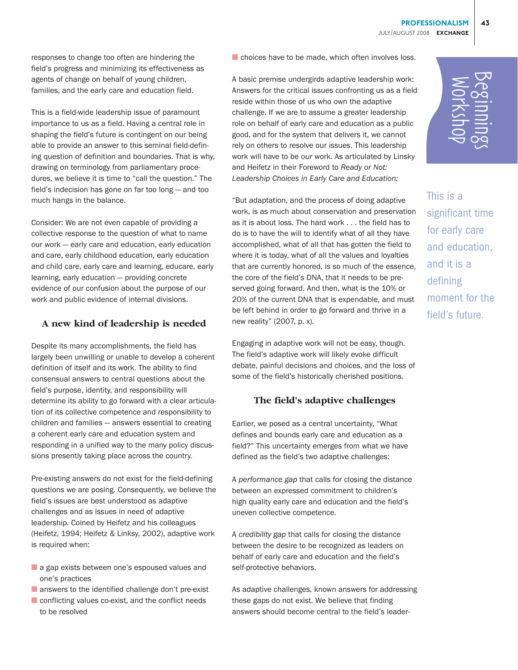**PROFESSIONALISM 43** JULY/AUGUST 2008 **EXCHANGE**

responses to change too often are hindering the field's progress and minimizing its effectiveness as agents of change on behalf of young children, families, and the early care and education field.

This is a field-wide leadership issue of paramount importance to us as a field. Having a central role in shaping the field's future is contingent on our being able to provide an answer to this seminal field-defining question of definition and boundaries. That is why, drawing on terminology from parliamentary procedures, we believe it is time to "call the question." The field's indecision has gone on far too long — and too much hangs in the balance.

Consider: We are not even capable of providing a collective response to the question of what to name our work — early care and education, early education and care, early childhood education, early education and child care, early care and learning, educare, early learning, early education — providing concrete evidence of our confusion about the purpose of our work and public evidence of internal divisions.

### **A new kind of leadership is needed**

Despite its many accomplishments, the field has largely been unwilling or unable to develop a coherent definition of itself and its work. The ability to find consensual answers to central questions about the field's purpose, identity, and responsibility will determine its ability to go forward with a clear articulation of its collective competence and responsibility to children and families — answers essential to creating a coherent early care and education system and responding in a unified way to the many policy discussions presently taking place across the country.

Pre-existing answers do not exist for the field-defining questions we are posing. Consequently, we believe the field's issues are best understood as adaptive challenges and as issues in need of adaptive leadership. Coined by Heifetz and his colleagues (Heifetz, 1994; Heifetz & Linksy, 2002), adaptive work is required when:

- a gap exists between one's espoused values and one's practices
- answers to the identified challenge don't pre-exist
- conflicting values co-exist, and the conflict needs to be resolved

■ choices have to be made, which often involves loss.

A basic premise undergirds adaptive leadership work: Answers for the critical issues confronting us as a field reside within those of us who own the adaptive challenge. If we are to assume a greater leadership role on behalf of early care and education as a public good, and for the system that delivers it, we cannot rely on others to resolve our issues. This leadership work will have to be *our* work. As articulated by Linsky and Heifetz in their Foreword to *Ready or Not: Leadership Choices in Early Care and Education:* 

"But adaptation, and the process of doing adaptive work, is as much about conservation and preservation as it is about loss. The hard work . . . the field has to do is to have the will to identify what of all they have accomplished, what of all that has gotten the field to where it is today, what of all the values and loyalties that are currently honored, is so much of the essence, the core of the field's DNA, that it needs to be preserved going forward. And then, what is the 10% or 20% of the current DNA that is expendable, and must be left behind in order to go forward and thrive in a new reality" (2007, p. x).

Engaging in adaptive work will not be easy, though. The field's adaptive work will likely evoke difficult debate, painful decisions and choices, and the loss of some of the field's historically cherished positions.

### **The field's adaptive challenges**

Earlier, we posed as a central uncertainty, "What defines and bounds early care and education as a field?" This uncertainty emerges from what we have defined as the field's two adaptive challenges:

A *performance gap* that calls for closing the distance between an expressed commitment to children's high quality early care and education and the field's uneven collective competence.

A *credibility gap* that calls for closing the distance between the desire to be recognized as leaders on behalf of early care and education and the field's self-protective behaviors.

As adaptive challenges, known answers for addressing these gaps do not exist. We believe that finding answers should become central to the field's leader-

This is a significant time for early care and education, and it is a defining moment for the First Search Controllery Controllery<br>This is a<br>for early care<br>and education,<br>and it is a<br>defining<br>moment for the<br>field's future.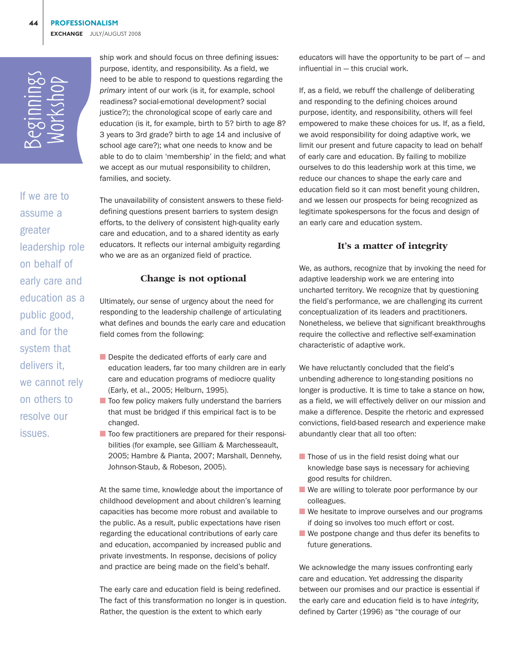Beginnings Workshop

If we are to assume a greater leadership role on behalf of early care and education as a public good, and for the system that delivers it, we cannot rely on others to resolve our issues.

ship work and should focus on three defining issues: purpose, identity, and responsibility. As a field, we need to be able to respond to questions regarding the *primary* intent of our work (is it, for example, school readiness? social-emotional development? social justice?); the chronological scope of early care and education (is it, for example, birth to 5? birth to age 8? 3 years to 3rd grade? birth to age 14 and inclusive of school age care?); what one needs to know and be able to do to claim 'membership' in the field; and what we accept as our mutual responsibility to children, families, and society.

The unavailability of consistent answers to these fielddefining questions present barriers to system design efforts, to the delivery of consistent high-quality early care and education, and to a shared identity as early educators. It reflects our internal ambiguity regarding who we are as an organized field of practice.

#### **Change is not optional**

Ultimately, our sense of urgency about the need for responding to the leadership challenge of articulating what defines and bounds the early care and education field comes from the following:

- Despite the dedicated efforts of early care and education leaders, far too many children are in early care and education programs of mediocre quality (Early, et al., 2005; Helburn, 1995).
- Too few policy makers fully understand the barriers that must be bridged if this empirical fact is to be changed.
- Too few practitioners are prepared for their responsibilities (for example, see Gilliam & Marchesseault, 2005; Hambre & Pianta, 2007; Marshall, Dennehy, Johnson-Staub, & Robeson, 2005).

At the same time, knowledge about the importance of childhood development and about children's learning capacities has become more robust and available to the public. As a result, public expectations have risen regarding the educational contributions of early care and education, accompanied by increased public and private investments. In response, decisions of policy and practice are being made on the field's behalf.

The early care and education field is being redefined. The fact of this transformation no longer is in question. Rather, the question is the extent to which early

educators will have the opportunity to be part of  $-$  and influential in — this crucial work.

If, as a field, we rebuff the challenge of deliberating and responding to the defining choices around purpose, identity, and responsibility, others will feel empowered to make these choices for us. If, as a field, we avoid responsibility for doing adaptive work, we limit our present and future capacity to lead on behalf of early care and education. By failing to mobilize ourselves to do this leadership work at this time, we reduce our chances to shape the early care and education field so it can most benefit young children, and we lessen our prospects for being recognized as legitimate spokespersons for the focus and design of an early care and education system.

#### **It's a matter of integrity**

We, as authors, recognize that by invoking the need for adaptive leadership work we are entering into uncharted territory. We recognize that by questioning the field's performance, we are challenging its current conceptualization of its leaders and practitioners. Nonetheless, we believe that significant breakthroughs require the collective and reflective self-examination characteristic of adaptive work.

We have reluctantly concluded that the field's unbending adherence to long-standing positions no longer is productive. It is time to take a stance on how, as a field, we will effectively deliver on our mission and make a difference. Despite the rhetoric and expressed convictions, field-based research and experience make abundantly clear that all too often:

- Those of us in the field resist doing what our knowledge base says is necessary for achieving good results for children.
- We are willing to tolerate poor performance by our colleagues.
- We hesitate to improve ourselves and our programs if doing so involves too much effort or cost.
- We postpone change and thus defer its benefits to future generations.

We acknowledge the many issues confronting early care and education. Yet addressing the disparity between our promises and our practice is essential if the early care and education field is to have *integrity,* defined by Carter (1996) as "the courage of our